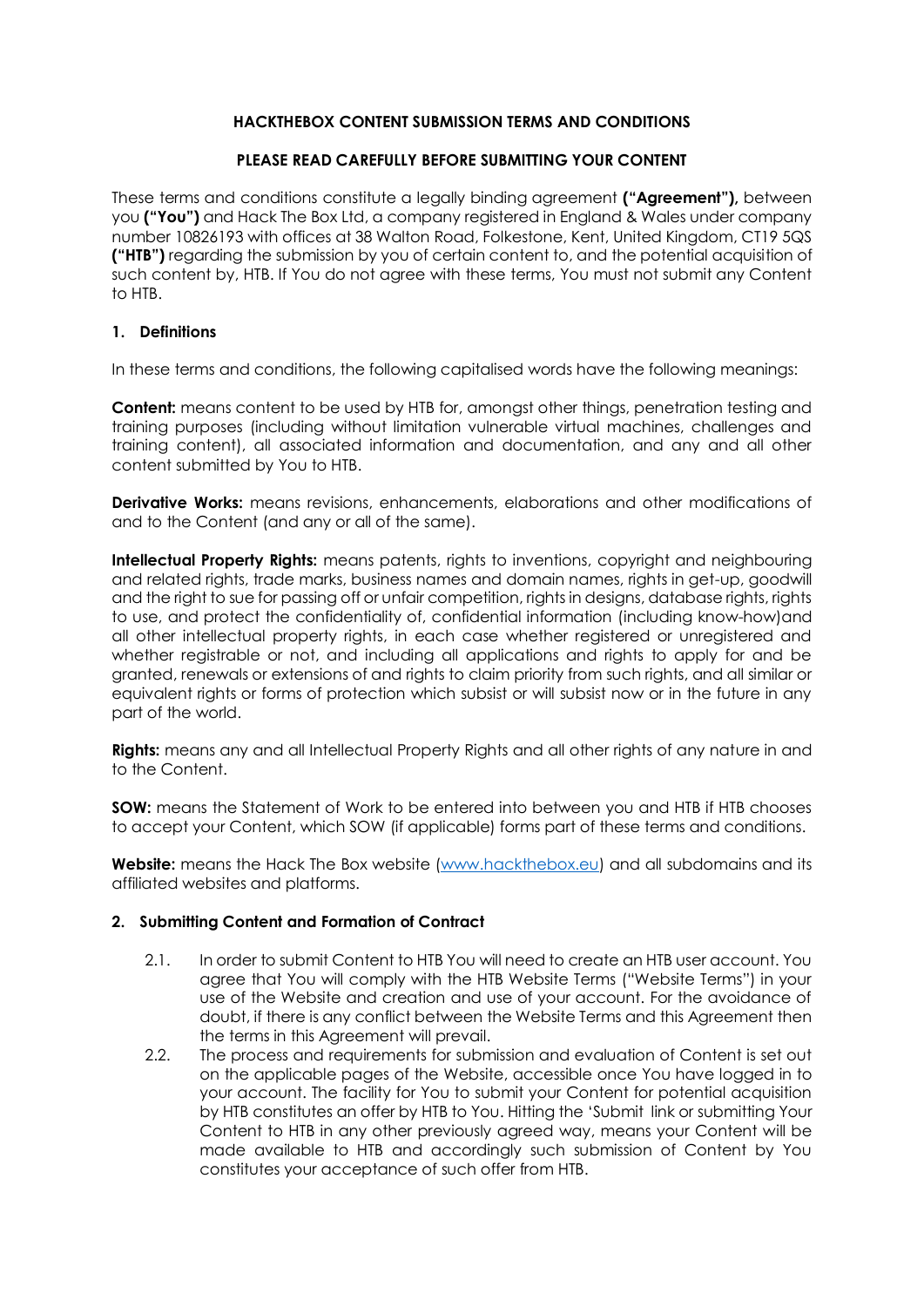### **HACKTHEBOX CONTENT SUBMISSION TERMS AND CONDITIONS**

### **PLEASE READ CAREFULLY BEFORE SUBMITTING YOUR CONTENT**

These terms and conditions constitute a legally binding agreement **("Agreement"),** between you **("You")** and Hack The Box Ltd, a company registered in England & Wales under company number 10826193 with offices at 38 Walton Road, Folkestone, Kent, United Kingdom, CT19 5QS **("HTB")** regarding the submission by you of certain content to, and the potential acquisition of such content by, HTB. If You do not agree with these terms, You must not submit any Content to HTB.

### **1. Definitions**

In these terms and conditions, the following capitalised words have the following meanings:

**Content:** means content to be used by HTB for, amongst other things, penetration testing and training purposes (including without limitation vulnerable virtual machines, challenges and training content), all associated information and documentation, and any and all other content submitted by You to HTB.

**Derivative Works:** means revisions, enhancements, elaborations and other modifications of and to the Content (and any or all of the same).

**Intellectual Property Rights:** means patents, rights to inventions, copyright and neighbouring and related rights, trade marks, business names and domain names, rights in get-up, goodwill and the right to sue for passing off or unfair competition, rights in designs, database rights, rights to use, and protect the confidentiality of, confidential information (including know-how)and all other intellectual property rights, in each case whether registered or unregistered and whether registrable or not, and including all applications and rights to apply for and be granted, renewals or extensions of and rights to claim priority from such rights, and all similar or equivalent rights or forms of protection which subsist or will subsist now or in the future in any part of the world.

**Rights:** means any and all Intellectual Property Rights and all other rights of any nature in and to the Content.

**SOW:** means the Statement of Work to be entered into between you and HTB if HTB chooses to accept your Content, which SOW (if applicable) forms part of these terms and conditions.

**Website:** means the Hack The Box website [\(www.hackthebox.eu\)](http://www.hackthebox.eu/) and all subdomains and its affiliated websites and platforms.

### **2. Submitting Content and Formation of Contract**

- 2.1. In order to submit Content to HTB You will need to create an HTB user account. You agree that You will comply with the HTB Website Terms ("Website Terms") in your use of the Website and creation and use of your account. For the avoidance of doubt, if there is any conflict between the Website Terms and this Agreement then the terms in this Agreement will prevail.
- 2.2. The process and requirements for submission and evaluation of Content is set out on the applicable pages of the Website, accessible once You have logged in to your account. The facility for You to submit your Content for potential acquisition by HTB constitutes an offer by HTB to You. Hitting the 'Submit link or submitting Your Content to HTB in any other previously agreed way, means your Content will be made available to HTB and accordingly such submission of Content by You constitutes your acceptance of such offer from HTB.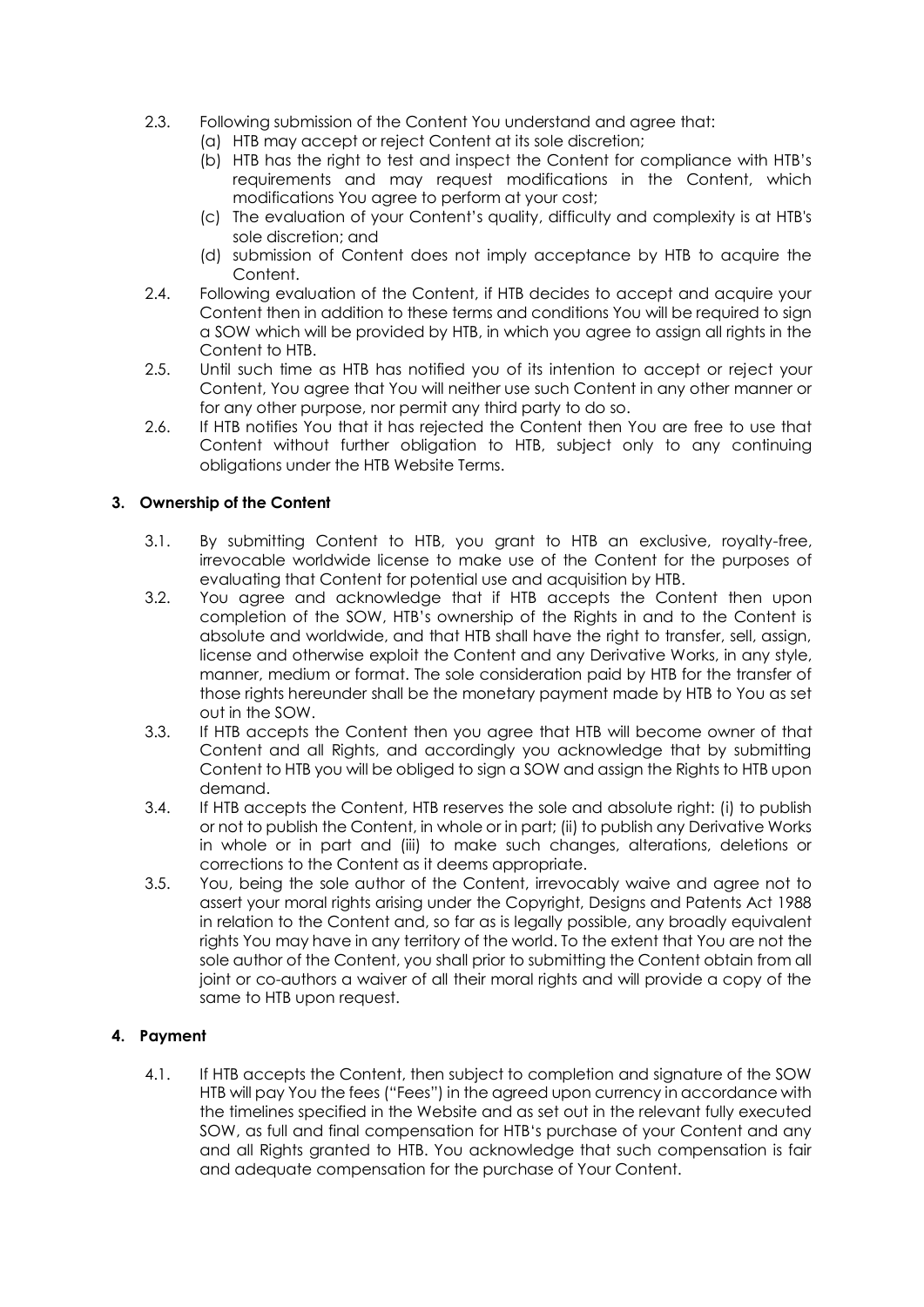- 2.3. Following submission of the Content You understand and agree that:
	- (a) HTB may accept or reject Content at its sole discretion;
		- (b) HTB has the right to test and inspect the Content for compliance with HTB's requirements and may request modifications in the Content, which modifications You agree to perform at your cost;
		- (c) The evaluation of your Content's quality, difficulty and complexity is at HTB's sole discretion; and
	- (d) submission of Content does not imply acceptance by HTB to acquire the Content.
- 2.4. Following evaluation of the Content, if HTB decides to accept and acquire your Content then in addition to these terms and conditions You will be required to sign a SOW which will be provided by HTB, in which you agree to assign all rights in the Content to HTB.
- 2.5. Until such time as HTB has notified you of its intention to accept or reject your Content, You agree that You will neither use such Content in any other manner or for any other purpose, nor permit any third party to do so.
- 2.6. If HTB notifies You that it has rejected the Content then You are free to use that Content without further obligation to HTB, subject only to any continuing obligations under the HTB Website Terms.

# **3. Ownership of the Content**

- 3.1. By submitting Content to HTB, you grant to HTB an exclusive, royalty-free, irrevocable worldwide license to make use of the Content for the purposes of evaluating that Content for potential use and acquisition by HTB.
- 3.2. You agree and acknowledge that if HTB accepts the Content then upon completion of the SOW, HTB's ownership of the Rights in and to the Content is absolute and worldwide, and that HTB shall have the right to transfer, sell, assign, license and otherwise exploit the Content and any Derivative Works, in any style, manner, medium or format. The sole consideration paid by HTB for the transfer of those rights hereunder shall be the monetary payment made by HTB to You as set out in the SOW.
- 3.3. If HTB accepts the Content then you agree that HTB will become owner of that Content and all Rights, and accordingly you acknowledge that by submitting Content to HTB you will be obliged to sign a SOW and assign the Rights to HTB upon demand.
- 3.4. If HTB accepts the Content, HTB reserves the sole and absolute right: (i) to publish or not to publish the Content, in whole or in part; (ii) to publish any Derivative Works in whole or in part and (iii) to make such changes, alterations, deletions or corrections to the Content as it deems appropriate.
- 3.5. You, being the sole author of the Content, irrevocably waive and agree not to assert your moral rights arising under the Copyright, Designs and Patents Act 1988 in relation to the Content and, so far as is legally possible, any broadly equivalent rights You may have in any territory of the world. To the extent that You are not the sole author of the Content, you shall prior to submitting the Content obtain from all joint or co-authors a waiver of all their moral rights and will provide a copy of the same to HTB upon request.

## **4. Payment**

4.1. If HTB accepts the Content, then subject to completion and signature of the SOW HTB will pay You the fees ("Fees") in the agreed upon currency in accordance with the timelines specified in the Website and as set out in the relevant fully executed SOW, as full and final compensation for HTB's purchase of your Content and any and all Rights granted to HTB. You acknowledge that such compensation is fair and adequate compensation for the purchase of Your Content.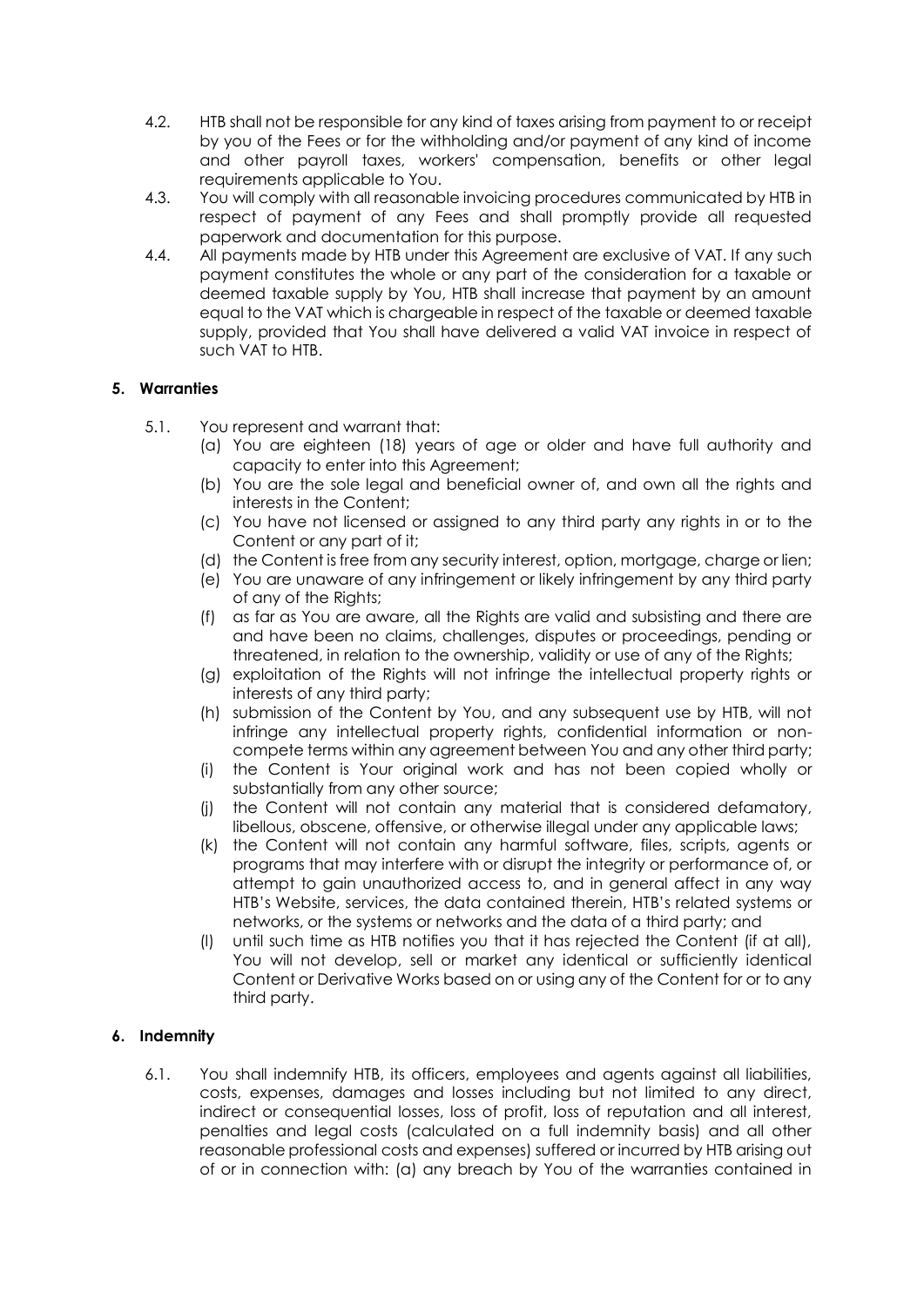- 4.2. HTB shall not be responsible for any kind of taxes arising from payment to or receipt by you of the Fees or for the withholding and/or payment of any kind of income and other payroll taxes, workers' compensation, benefits or other legal requirements applicable to You.
- 4.3. You will comply with all reasonable invoicing procedures communicated by HTB in respect of payment of any Fees and shall promptly provide all requested paperwork and documentation for this purpose.
- 4.4. All payments made by HTB under this Agreement are exclusive of VAT. If any such payment constitutes the whole or any part of the consideration for a taxable or deemed taxable supply by You, HTB shall increase that payment by an amount equal to the VAT which is chargeable in respect of the taxable or deemed taxable supply, provided that You shall have delivered a valid VAT invoice in respect of such VAT to HTB.

## **5. Warranties**

- 5.1. You represent and warrant that:
	- (a) You are eighteen (18) years of age or older and have full authority and capacity to enter into this Agreement;
	- (b) You are the sole legal and beneficial owner of, and own all the rights and interests in the Content;
	- (c) You have not licensed or assigned to any third party any rights in or to the Content or any part of it;
	- (d) the Content is free from any security interest, option, mortgage, charge or lien;
	- (e) You are unaware of any infringement or likely infringement by any third party of any of the Rights;
	- (f) as far as You are aware, all the Rights are valid and subsisting and there are and have been no claims, challenges, disputes or proceedings, pending or threatened, in relation to the ownership, validity or use of any of the Rights;
	- (g) exploitation of the Rights will not infringe the intellectual property rights or interests of any third party;
	- (h) submission of the Content by You, and any subsequent use by HTB, will not infringe any intellectual property rights, confidential information or noncompete terms within any agreement between You and any other third party;
	- (i) the Content is Your original work and has not been copied wholly or substantially from any other source;
	- (j) the Content will not contain any material that is considered defamatory, libellous, obscene, offensive, or otherwise illegal under any applicable laws;
	- (k) the Content will not contain any harmful software, files, scripts, agents or programs that may interfere with or disrupt the integrity or performance of, or attempt to gain unauthorized access to, and in general affect in any way HTB's Website, services, the data contained therein, HTB's related systems or networks, or the systems or networks and the data of a third party; and
	- (l) until such time as HTB notifies you that it has rejected the Content (if at all), You will not develop, sell or market any identical or sufficiently identical Content or Derivative Works based on or using any of the Content for or to any third party.

### **6. Indemnity**

6.1. You shall indemnify HTB, its officers, employees and agents against all liabilities, costs, expenses, damages and losses including but not limited to any direct, indirect or consequential losses, loss of profit, loss of reputation and all interest, penalties and legal costs (calculated on a full indemnity basis) and all other reasonable professional costs and expenses) suffered or incurred by HTB arising out of or in connection with: (a) any breach by You of the warranties contained in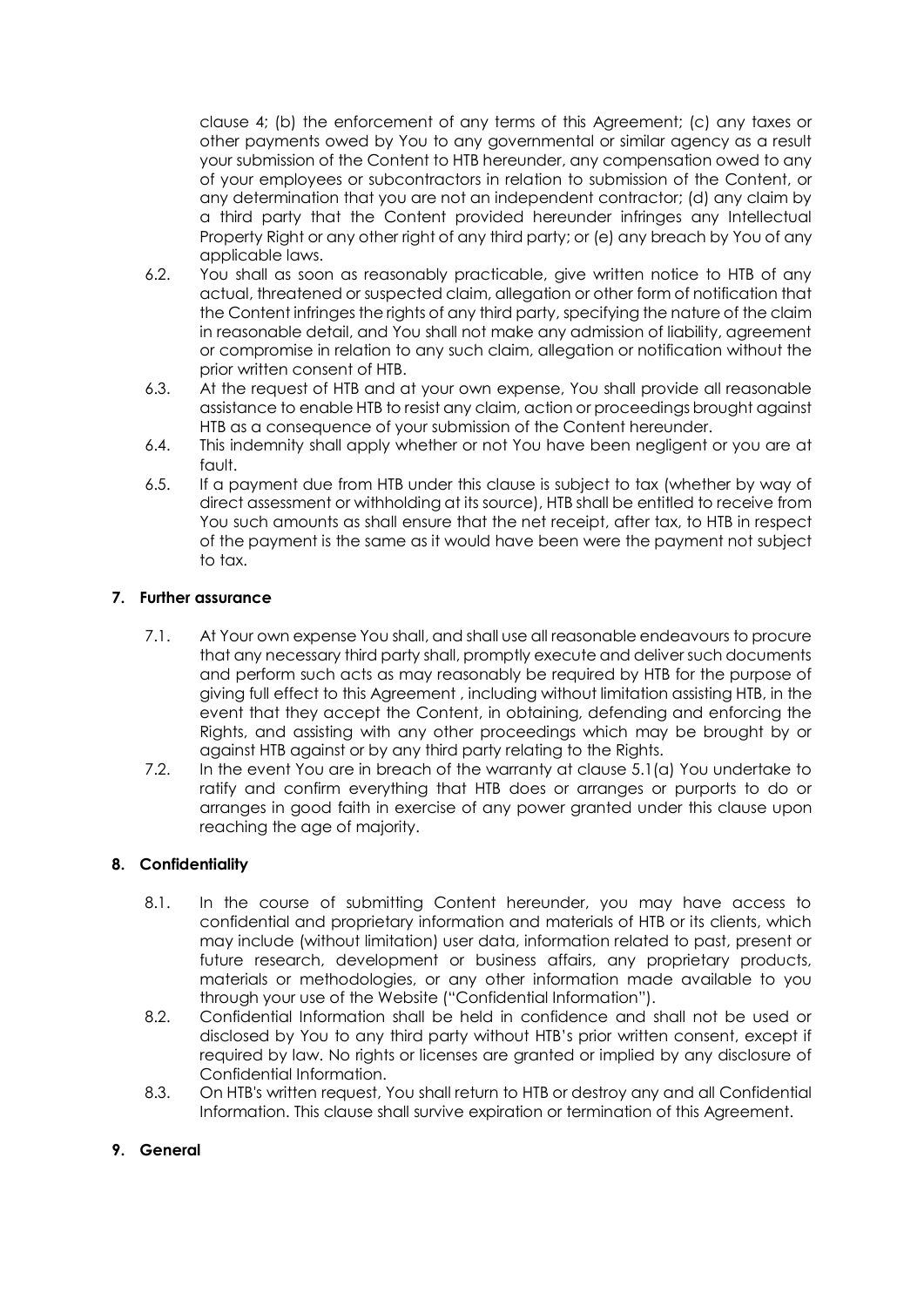clause 4; (b) the enforcement of any terms of this Agreement; (c) any taxes or other payments owed by You to any governmental or similar agency as a result your submission of the Content to HTB hereunder, any compensation owed to any of your employees or subcontractors in relation to submission of the Content, or any determination that you are not an independent contractor; (d) any claim by a third party that the Content provided hereunder infringes any Intellectual Property Right or any other right of any third party; or (e) any breach by You of any applicable laws.

- 6.2. You shall as soon as reasonably practicable, give written notice to HTB of any actual, threatened or suspected claim, allegation or other form of notification that the Content infringes the rights of any third party, specifying the nature of the claim in reasonable detail, and You shall not make any admission of liability, agreement or compromise in relation to any such claim, allegation or notification without the prior written consent of HTB.
- 6.3. At the request of HTB and at your own expense, You shall provide all reasonable assistance to enable HTB to resist any claim, action or proceedings brought against HTB as a consequence of your submission of the Content hereunder.
- 6.4. This indemnity shall apply whether or not You have been negligent or you are at fault.
- 6.5. If a payment due from HTB under this clause is subject to tax (whether by way of direct assessment or withholding at its source), HTB shall be entitled to receive from You such amounts as shall ensure that the net receipt, after tax, to HTB in respect of the payment is the same as it would have been were the payment not subject to tax.

## **7. Further assurance**

- 7.1. At Your own expense You shall, and shall use all reasonable endeavours to procure that any necessary third party shall, promptly execute and deliver such documents and perform such acts as may reasonably be required by HTB for the purpose of giving full effect to this Agreement , including without limitation assisting HTB, in the event that they accept the Content, in obtaining, defending and enforcing the Rights, and assisting with any other proceedings which may be brought by or against HTB against or by any third party relating to the Rights.
- 7.2. In the event You are in breach of the warranty at clause 5.1(a) You undertake to ratify and confirm everything that HTB does or arranges or purports to do or arranges in good faith in exercise of any power granted under this clause upon reaching the age of majority.

### **8. Confidentiality**

- 8.1. In the course of submitting Content hereunder, you may have access to confidential and proprietary information and materials of HTB or its clients, which may include (without limitation) user data, information related to past, present or future research, development or business affairs, any proprietary products, materials or methodologies, or any other information made available to you through your use of the Website ("Confidential Information").
- 8.2. Confidential Information shall be held in confidence and shall not be used or disclosed by You to any third party without HTB's prior written consent, except if required by law. No rights or licenses are granted or implied by any disclosure of Confidential Information.
- 8.3. On HTB's written request, You shall return to HTB or destroy any and all Confidential Information. This clause shall survive expiration or termination of this Agreement.

### **9. General**